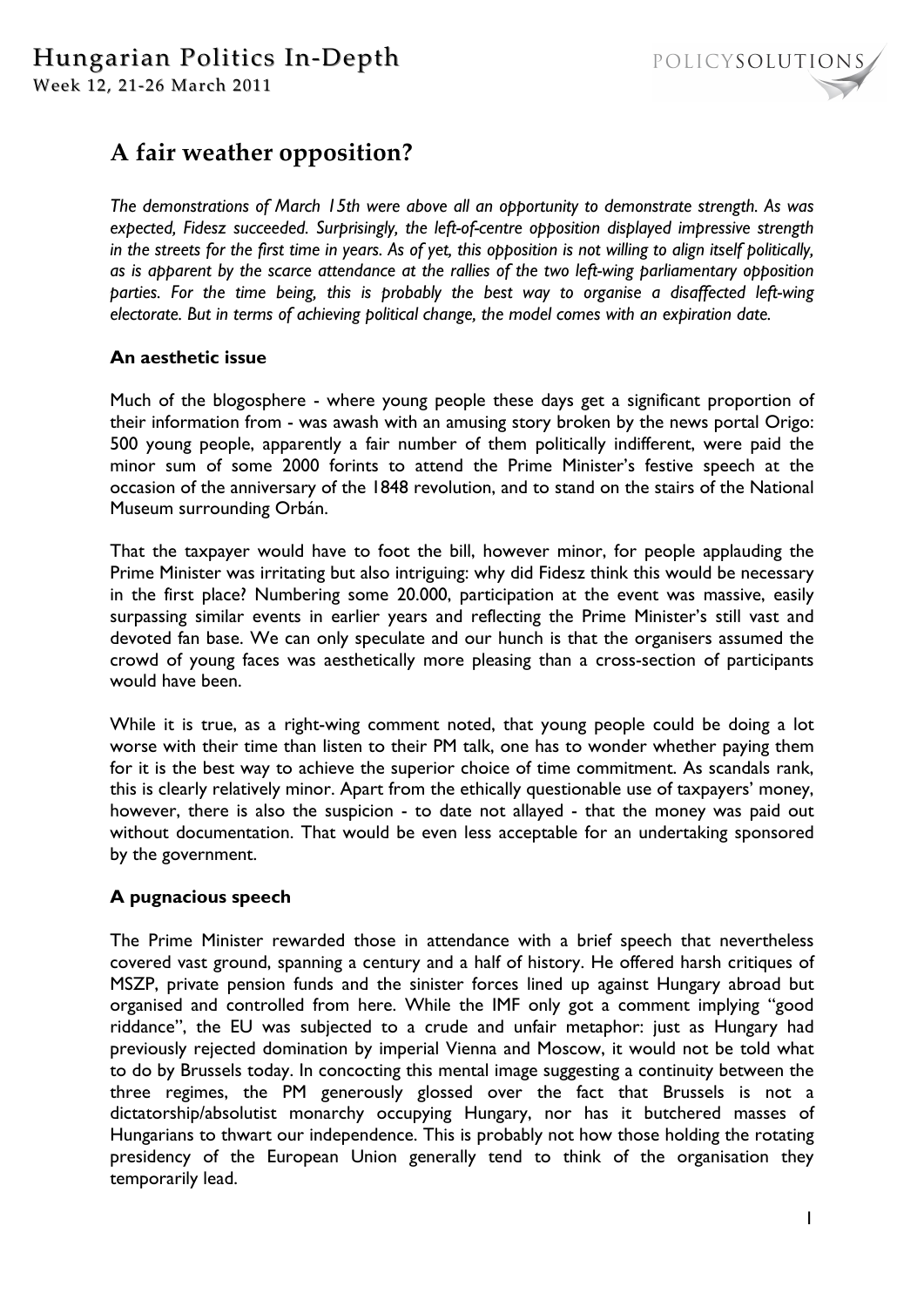

# **A fair weather opposition?**

*The demonstrations of March 15th were above all an opportunity to demonstrate strength. As was expected, Fidesz succeeded. Surprisingly, the left-of-centre opposition displayed impressive strength in the streets for the first time in years. As of yet, this opposition is not willing to align itself politically, as is apparent by the scarce attendance at the rallies of the two left-wing parliamentary opposition parties. For the time being, this is probably the best way to organise a disaffected left-wing electorate. But in terms of achieving political change, the model comes with an expiration date.*

## **An aesthetic issue**

Much of the blogosphere - where young people these days get a significant proportion of their information from - was awash with an amusing story broken by the news portal Origo: 500 young people, apparently a fair number of them politically indifferent, were paid the minor sum of some 2000 forints to attend the Prime Minister's festive speech at the occasion of the anniversary of the 1848 revolution, and to stand on the stairs of the National Museum surrounding Orbán.

That the taxpayer would have to foot the bill, however minor, for people applauding the Prime Minister was irritating but also intriguing: why did Fidesz think this would be necessary in the first place? Numbering some 20.000, participation at the event was massive, easily surpassing similar events in earlier years and reflecting the Prime Minister's still vast and devoted fan base. We can only speculate and our hunch is that the organisers assumed the crowd of young faces was aesthetically more pleasing than a cross-section of participants would have been.

While it is true, as a right-wing comment noted, that young people could be doing a lot worse with their time than listen to their PM talk, one has to wonder whether paying them for it is the best way to achieve the superior choice of time commitment. As scandals rank, this is clearly relatively minor. Apart from the ethically questionable use of taxpayers' money, however, there is also the suspicion - to date not allayed - that the money was paid out without documentation. That would be even less acceptable for an undertaking sponsored by the government.

# **A pugnacious speech**

The Prime Minister rewarded those in attendance with a brief speech that nevertheless covered vast ground, spanning a century and a half of history. He offered harsh critiques of MSZP, private pension funds and the sinister forces lined up against Hungary abroad but organised and controlled from here. While the IMF only got a comment implying "good riddance", the EU was subjected to a crude and unfair metaphor: just as Hungary had previously rejected domination by imperial Vienna and Moscow, it would not be told what to do by Brussels today. In concocting this mental image suggesting a continuity between the three regimes, the PM generously glossed over the fact that Brussels is not a dictatorship/absolutist monarchy occupying Hungary, nor has it butchered masses of Hungarians to thwart our independence. This is probably not how those holding the rotating presidency of the European Union generally tend to think of the organisation they temporarily lead.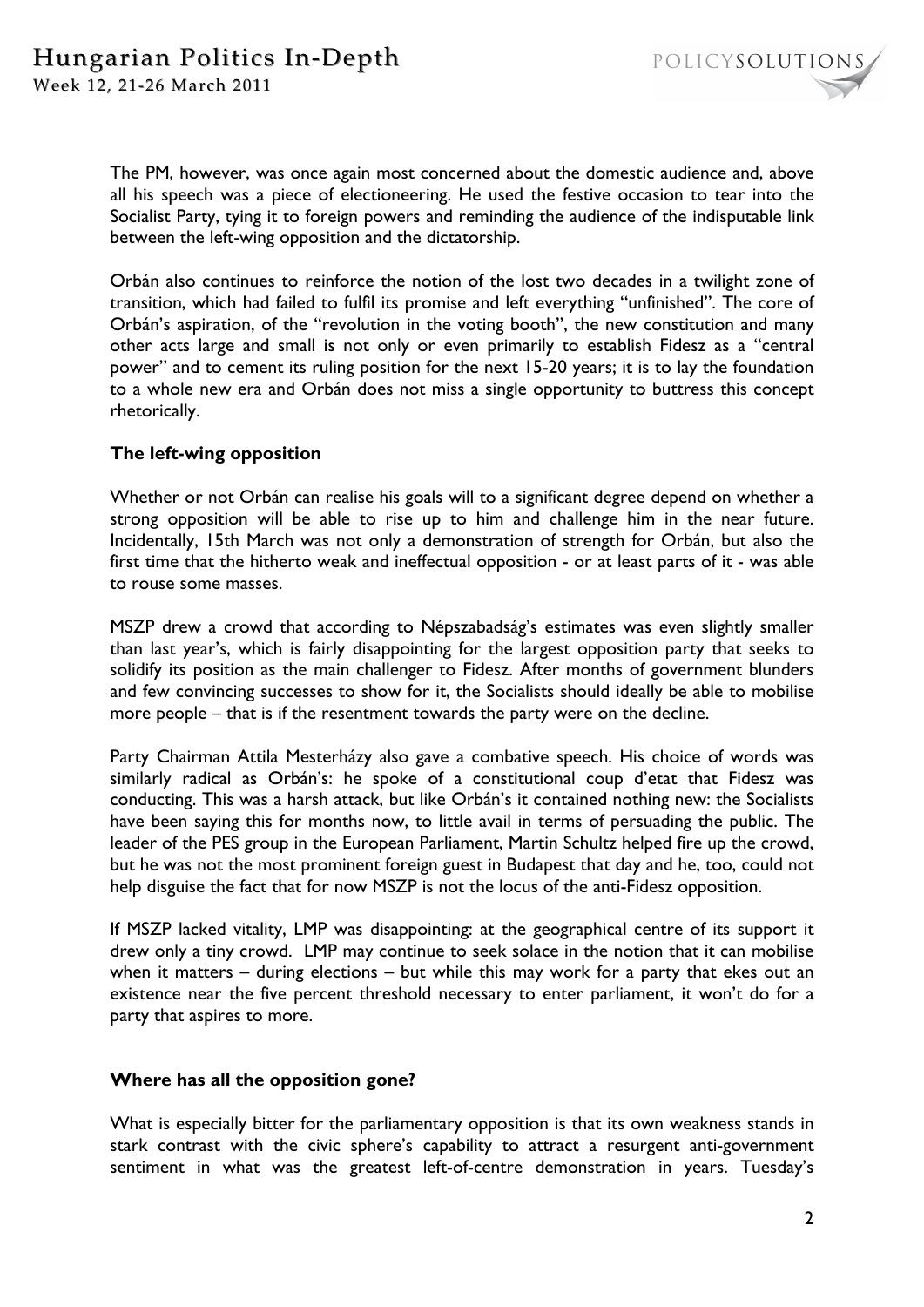POLICYSOLUTIONS

The PM, however, was once again most concerned about the domestic audience and, above all his speech was a piece of electioneering. He used the festive occasion to tear into the Socialist Party, tying it to foreign powers and reminding the audience of the indisputable link between the left-wing opposition and the dictatorship.

Orbán also continues to reinforce the notion of the lost two decades in a twilight zone of transition, which had failed to fulfil its promise and left everything "unfinished". The core of Orbán's aspiration, of the "revolution in the voting booth", the new constitution and many other acts large and small is not only or even primarily to establish Fidesz as a "central power" and to cement its ruling position for the next 15-20 years; it is to lay the foundation to a whole new era and Orbán does not miss a single opportunity to buttress this concept rhetorically.

## **The left-wing opposition**

Whether or not Orbán can realise his goals will to a significant degree depend on whether a strong opposition will be able to rise up to him and challenge him in the near future. Incidentally, 15th March was not only a demonstration of strength for Orbán, but also the first time that the hitherto weak and ineffectual opposition - or at least parts of it - was able to rouse some masses.

MSZP drew a crowd that according to Népszabadság's estimates was even slightly smaller than last year's, which is fairly disappointing for the largest opposition party that seeks to solidify its position as the main challenger to Fidesz. After months of government blunders and few convincing successes to show for it, the Socialists should ideally be able to mobilise more people – that is if the resentment towards the party were on the decline.

Party Chairman Attila Mesterházy also gave a combative speech. His choice of words was similarly radical as Orbán's: he spoke of a constitutional coup d'etat that Fidesz was conducting. This was a harsh attack, but like Orbán's it contained nothing new: the Socialists have been saying this for months now, to little avail in terms of persuading the public. The leader of the PES group in the European Parliament, Martin Schultz helped fire up the crowd, but he was not the most prominent foreign guest in Budapest that day and he, too, could not help disguise the fact that for now MSZP is not the locus of the anti-Fidesz opposition.

If MSZP lacked vitality, LMP was disappointing: at the geographical centre of its support it drew only a tiny crowd. LMP may continue to seek solace in the notion that it can mobilise when it matters – during elections – but while this may work for a party that ekes out an existence near the five percent threshold necessary to enter parliament, it won't do for a party that aspires to more.

#### **Where has all the opposition gone?**

What is especially bitter for the parliamentary opposition is that its own weakness stands in stark contrast with the civic sphere's capability to attract a resurgent anti-government sentiment in what was the greatest left-of-centre demonstration in years. Tuesday's